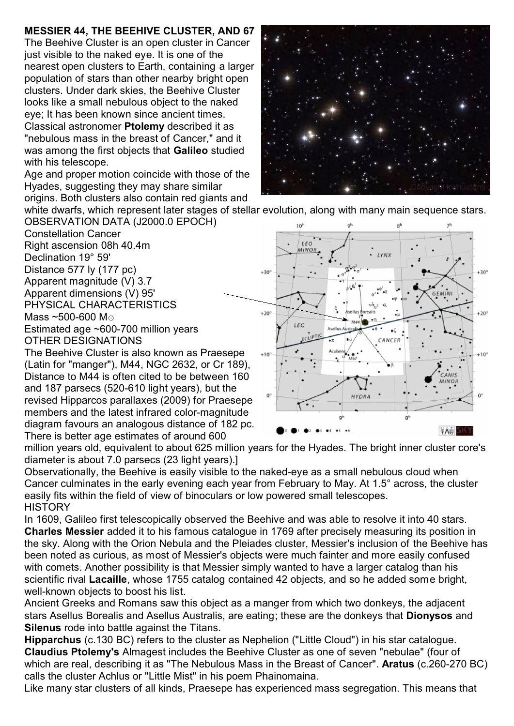## **MESSIER 44, THE BEEHIVE CLUSTER, AND 67**

The Beehive Cluster is an open cluster in Cancer just visible to the naked eye. It is one of the nearest open clusters to Earth, containing a larger population of stars than other nearby bright open clusters. Under dark skies, the Beehive Cluster looks like a small nebulous object to the naked eye; It has been known since ancient times. Classical astronomer **Ptolemy** described it as "nebulous mass in the breast of Cancer," and it was among the first objects that **Galileo** studied with his telescope.

Age and proper motion coincide with those of the Hyades, suggesting they may share similar origins. Both clusters also contain red giants and



white dwarfs, which represent later stages of stellar evolution, along with many main sequence stars.

OBSERVATION DATA (J2000.0 EPOCH) Constellation Cancer Right ascension 08h 40.4m Declination 19° 59' Distance 577 ly (177 pc) Apparent magnitude (V) 3.7 Apparent dimensions (V) 95' PHYSICAL CHARACTERISTICS Mass  $~500$ -600 Mo Estimated age ~600-700 million years OTHER DESIGNATIONS The Beehive Cluster is also known as Praesepe (Latin for "manger"), M44, NGC 2632, or Cr 189), Distance to M44 is often cited to be between 160 and 187 parsecs (520-610 light years), but the revised Hipparcos parallaxes (2009) for Praesepe members and the latest infrared color-magnitude

There is better age estimates of around 600



million years old, equivalent to about 625 million years for the Hyades. The bright inner cluster core's diameter is about 7.0 parsecs (23 light years).]

Observationally, the Beehive is easily visible to the naked-eye as a small nebulous cloud when Cancer culminates in the early evening each year from February to May. At 1.5° across, the cluster easily fits within the field of view of binoculars or low powered small telescopes. **HISTORY** 

In 1609, Galileo first telescopically observed the Beehive and was able to resolve it into 40 stars. **Charles Messier** added it to his famous catalogue in 1769 after precisely measuring its position in the sky. Along with the Orion Nebula and the Pleiades cluster, Messier's inclusion of the Beehive has been noted as curious, as most of Messier's objects were much fainter and more easily confused with comets. Another possibility is that Messier simply wanted to have a larger catalog than his scientific rival **Lacaille**, whose 1755 catalog contained 42 objects, and so he added some bright, well-known objects to boost his list.

Ancient Greeks and Romans saw this object as a manger from which two donkeys, the adjacent stars Asellus Borealis and Asellus Australis, are eating; these are the donkeys that **Dionysos** and **Silenus** rode into battle against the Titans.

**Hipparchus** (c.130 BC) refers to the cluster as Nephelion ("Little Cloud") in his star catalogue. **Claudius Ptolemy's** Almagest includes the Beehive Cluster as one of seven "nebulae" (four of which are real, describing it as "The Nebulous Mass in the Breast of Cancer". **Aratus** (c.260-270 BC) calls the cluster Achlus or "Little Mist" in his poem Phainomaina.

Like many star clusters of all kinds, Praesepe has experienced mass segregation. This means that